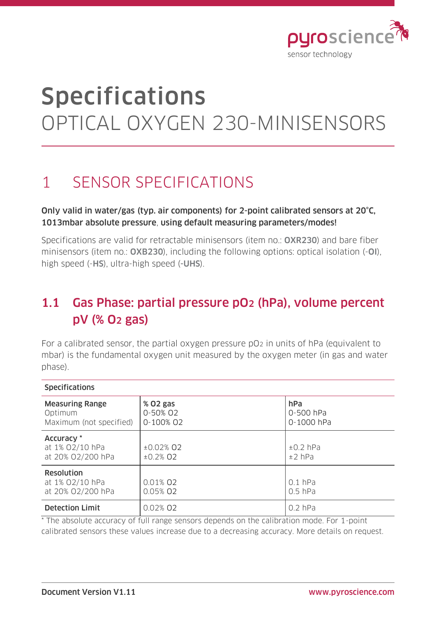

# Specifications OPTICAL OXYGEN 230-MINISENSORS

## 1 SENSOR SPECIFICATIONS

#### Only valid in water/gas (typ. air components) for 2-point calibrated sensors at 20°C, 1013mbar absolute pressure, using default measuring parameters/modes!

Specifications are valid for retractable minisensors (item no.: OXR230) and bare fiber minisensors (item no.: OXB230), including the following options: optical isolation (-OI), high speed (-HS), ultra-high speed (-UHS).

### 1.1 Gas Phase: partial pressure pO2 (hPa), volume percent pV (% O2 gas)

For a calibrated sensor, the partial oxygen pressure pO2 in units of hPa (equivalent to mbar) is the fundamental oxygen unit measured by the oxygen meter (in gas and water phase).

| <b>Specifications</b>                                        |                                        |                                |
|--------------------------------------------------------------|----------------------------------------|--------------------------------|
| <b>Measuring Range</b><br>Optimum<br>Maximum (not specified) | % 02 gas<br>0-50% 02<br>0-100% 02      | hPa<br>0-500 hPa<br>0-1000 hPa |
| Accuracy *<br>at 1% 02/10 hPa<br>at 20% 02/200 hPa           | $±0.02%$ Q <sub>2</sub><br>$±0.2\%$ O2 | $\pm 0.2$ hPa<br>$±2$ hPa      |
| Resolution<br>at 1% 02/10 hPa<br>at 20% 02/200 hPa           | 0.01% 02<br>0.05% 02                   | $0.1$ hPa<br>$0.5$ hPa         |
| <b>Detection Limit</b>                                       | 0.02% 02                               | $0.2$ hPa                      |

\* The absolute accuracy of full range sensors depends on the calibration mode. For 1-point calibrated sensors these values increase due to a decreasing accuracy. More details on request.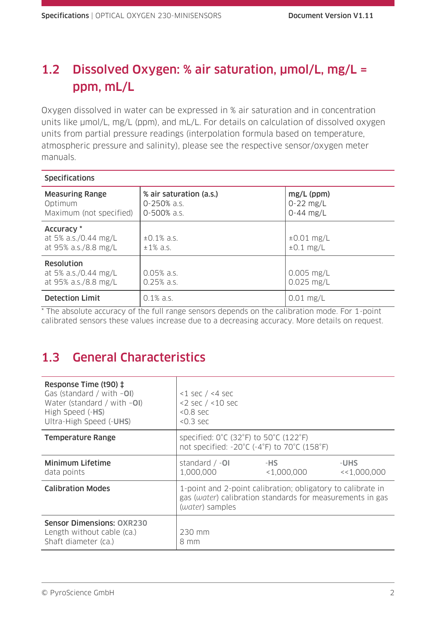### 1.2 Dissolved Oxygen: % air saturation, µmol/L, mg/L = ppm, mL/L

Oxygen dissolved in water can be expressed in % air saturation and in concentration units like  $\mu$ mol/L, mg/L (ppm), and mL/L. For details on calculation of dissolved oxygen units from partial pressure readings (interpolation formula based on temperature, atmospheric pressure and salinity), please see the respective sensor/oxygen meter manuals.

| <b>Specifications</b>                                             |                                                       |                                              |
|-------------------------------------------------------------------|-------------------------------------------------------|----------------------------------------------|
| <b>Measuring Range</b><br>Optimum<br>Maximum (not specified)      | % air saturation (a.s.)<br>0-250% a.s.<br>0-500% a.s. | $mg/L$ (ppm)<br>$0 - 22$ mg/L<br>$0-44$ mg/L |
| Accuracy *<br>at 5% a.s./0.44 mg/L<br>at 95% a.s./8.8 mg/L        | $\pm 0.1\%$ a.s.<br>$±1\%$ a.s.                       | $\pm 0.01$ mg/L<br>$\pm 0.1$ mg/L            |
| <b>Resolution</b><br>at 5% a.s./0.44 mg/L<br>at 95% a.s./8.8 mg/L | $0.05%$ a.s.<br>$0.25%$ a.s.                          | $0.005$ mg/L<br>$0.025$ mg/L                 |
| <b>Detection Limit</b>                                            | $0.1\%$ a.s.                                          | $0.01$ mg/L                                  |

\* The absolute accuracy of the full range sensors depends on the calibration mode. For 1-point calibrated sensors these values increase due to a decreasing accuracy. More details on request.

### 1.3 General Characteristics

| Response Time (t90) ‡<br>Gas (standard / with $-O$ I)<br>Water (standard / with $-O$ I)<br>High Speed (-HS)<br>Ultra-High Speed (-UHS) | $<$ 1 sec / $<$ 4 sec<br>$<$ 2 sec $/$ <10 sec<br>$< 0.8$ sec<br>$< 0.3$ sec                                                                                              |                      |                     |
|----------------------------------------------------------------------------------------------------------------------------------------|---------------------------------------------------------------------------------------------------------------------------------------------------------------------------|----------------------|---------------------|
| <b>Temperature Range</b>                                                                                                               | specified: $0^{\circ}$ C (32 $^{\circ}$ F) to 50 $^{\circ}$ C (122 $^{\circ}$ F)<br>not specified: $-20^{\circ}$ C ( $-4^{\circ}$ F) to $70^{\circ}$ C (158 $^{\circ}$ F) |                      |                     |
| Minimum Lifetime<br>data points                                                                                                        | standard $/ -01$<br>1,000,000                                                                                                                                             | -HS<br>$<$ 1,000,000 | -UHS<br><<1,000,000 |
| <b>Calibration Modes</b>                                                                                                               | 1-point and 2-point calibration; obligatory to calibrate in<br>gas (water) calibration standards for measurements in gas<br>(water) samples                               |                      |                     |
| <b>Sensor Dimensions: OXR230</b><br>Length without cable (ca.)<br>Shaft diameter (ca.)                                                 | 230 mm<br>8 mm                                                                                                                                                            |                      |                     |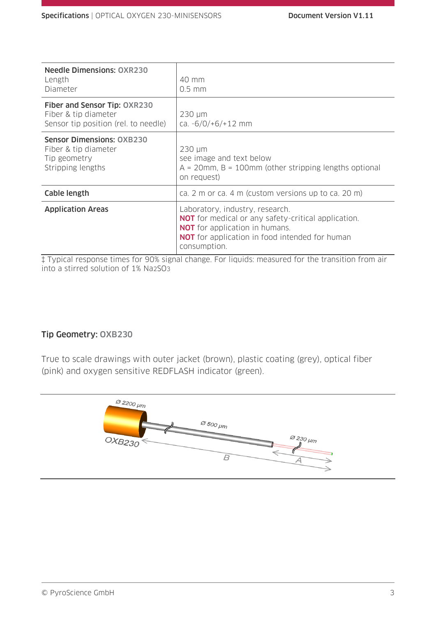| <b>Needle Dimensions: OXR230</b><br>Length<br>Diameter                                        | 40 mm<br>$0.5$ mm                                                                                                                                                                                               |
|-----------------------------------------------------------------------------------------------|-----------------------------------------------------------------------------------------------------------------------------------------------------------------------------------------------------------------|
| Fiber and Sensor Tip: OXR230<br>Fiber & tip diameter<br>Sensor tip position (rel. to needle)  | $230 \mu m$<br>ca. $-6/0/+6/+12$ mm                                                                                                                                                                             |
| <b>Sensor Dimensions: OXB230</b><br>Fiber & tip diameter<br>Tip geometry<br>Stripping lengths | $230 \mu m$<br>see image and text below<br>$A = 20$ mm, B = 100mm (other stripping lengths optional<br>on request)                                                                                              |
| Cable length                                                                                  | ca. 2 m or ca. 4 m (custom versions up to ca. 20 m)                                                                                                                                                             |
| <b>Application Areas</b>                                                                      | Laboratory, industry, research.<br><b>NOT</b> for medical or any safety-critical application.<br><b>NOT</b> for application in humans.<br><b>NOT</b> for application in food intended for human<br>consumption. |

‡ Typical response times for 90% signal change. For liquids: measured for the transition from air into a stirred solution of 1% Na2SO3

#### Tip Geometry: OXB230

True to scale drawings with outer jacket (brown), plastic coating (grey), optical fiber (pink) and oxygen sensitive REDFLASH indicator (green).

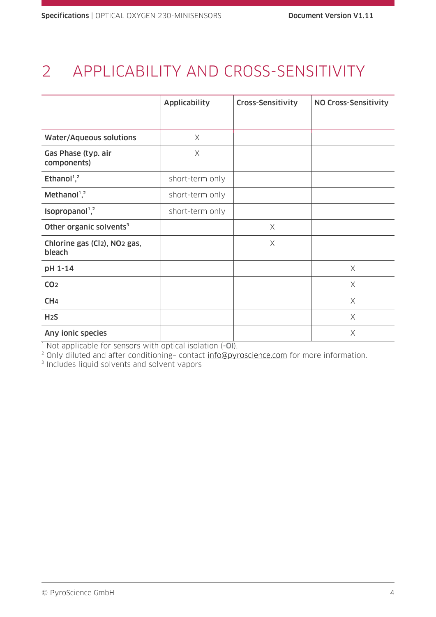# 2 APPLICABILITY AND CROSS-SENSITIVITY

|                                                                 | <b>Applicability</b> | Cross-Sensitivity | NO Cross-Sensitivity |
|-----------------------------------------------------------------|----------------------|-------------------|----------------------|
|                                                                 |                      |                   |                      |
| <b>Water/Aqueous solutions</b>                                  | X                    |                   |                      |
| Gas Phase (typ. air<br>components)                              | X                    |                   |                      |
| Ethanol <sup>1</sup> , <sup>2</sup>                             | short-term only      |                   |                      |
| Methanol <sup>1,2</sup>                                         | short-term only      |                   |                      |
| Isopropanol <sup>1</sup> , <sup>2</sup>                         | short-term only      |                   |                      |
| Other organic solvents <sup>3</sup>                             |                      | $\times$          |                      |
| Chlorine gas (Cl <sub>2</sub> ), NO <sub>2</sub> gas,<br>bleach |                      | $\times$          |                      |
| pH 1-14                                                         |                      |                   | $\times$             |
| CO <sub>2</sub>                                                 |                      |                   | X                    |
| CH <sub>4</sub>                                                 |                      |                   | $\times$             |
| H <sub>2</sub> S                                                |                      |                   | $\times$             |
| Any ionic species                                               |                      |                   | $\times$             |

 $1$  Not applicable for sensors with optical isolation  $(-0)$ .

<sup>2</sup> Only diluted and after conditioning- contact <u>info@pyroscience.com</u> for more information.<br><sup>3</sup> Includes liquid solvents and solvent vapors